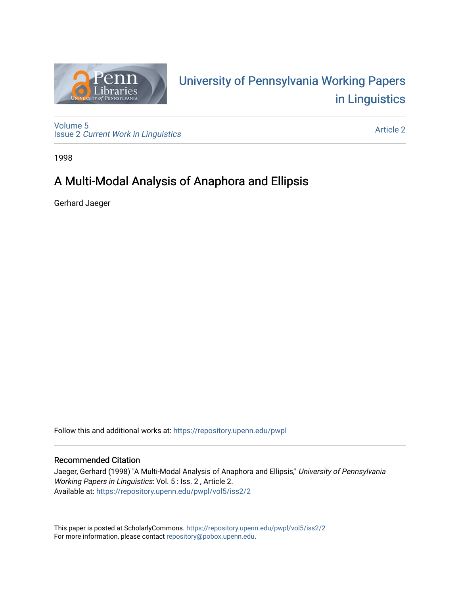

# University of P[ennsylvania Working P](https://repository.upenn.edu/pwpl)apers [in Linguistics](https://repository.upenn.edu/pwpl)

[Volume 5](https://repository.upenn.edu/pwpl/vol5) Issue 2 [Current Work in Linguistics](https://repository.upenn.edu/pwpl/vol5/iss2) 

[Article 2](https://repository.upenn.edu/pwpl/vol5/iss2/2) 

1998

## A Multi-Modal Analysis of Anaphora and Ellipsis

Gerhard Jaeger

Follow this and additional works at: [https://repository.upenn.edu/pwpl](https://repository.upenn.edu/pwpl?utm_source=repository.upenn.edu%2Fpwpl%2Fvol5%2Fiss2%2F2&utm_medium=PDF&utm_campaign=PDFCoverPages) 

## Recommended Citation

Jaeger, Gerhard (1998) "A Multi-Modal Analysis of Anaphora and Ellipsis," University of Pennsylvania Working Papers in Linguistics: Vol. 5 : Iss. 2 , Article 2. Available at: [https://repository.upenn.edu/pwpl/vol5/iss2/2](https://repository.upenn.edu/pwpl/vol5/iss2/2?utm_source=repository.upenn.edu%2Fpwpl%2Fvol5%2Fiss2%2F2&utm_medium=PDF&utm_campaign=PDFCoverPages) 

This paper is posted at ScholarlyCommons.<https://repository.upenn.edu/pwpl/vol5/iss2/2> For more information, please contact [repository@pobox.upenn.edu.](mailto:repository@pobox.upenn.edu)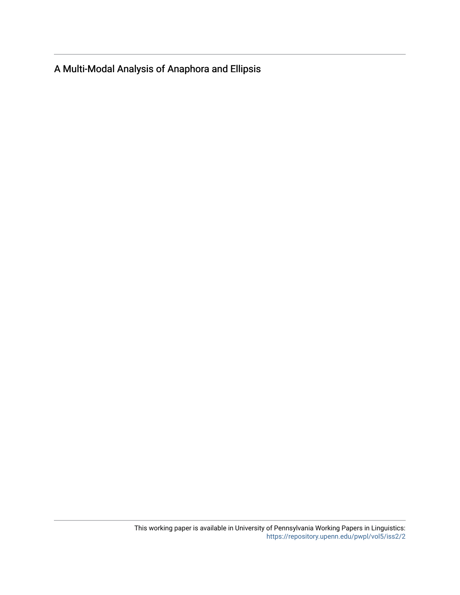A Multi-Modal Analysis of Anaphora and Ellipsis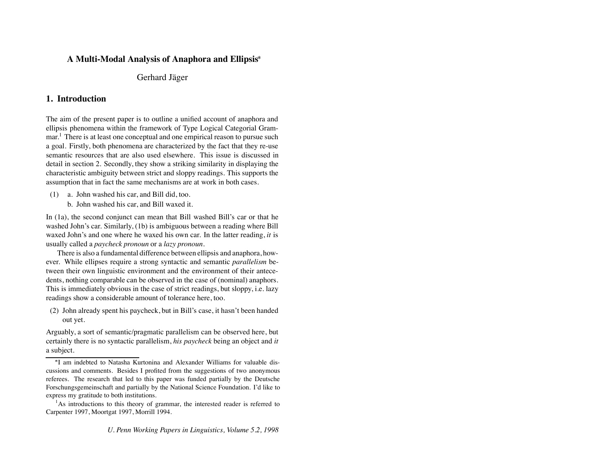### **A Multi-Modal Analysis of Anaphora and Ellipsis**

#### Gerhard Jäger

#### **1. Introduction**

The aim of the present paper is to outline a unified account of anaphora and ellipsis phenomena within the framework of Type Logical Categorial Grammar.<sup>1</sup> There is at least one conceptual and one empirical reason to pursue such a goal. Firstly, both phenomena are characterized by the fact that they re-use semantic resources that are also used elsewhere. This issue is discussed in detail in section 2. Secondly, they show a striking similarity in displaying the characteristic ambiguity between strict and sloppy readings. This supports the assumption that in fact the same mechanisms are at work in both cases.

- (1) a. John washed his car, and Bill did, too.
	- b. John washed his car, and Bill waxed it.

In (1a), the second conjunct can mean that Bill washed Bill's car or that he washed John's car. Similarly, (1b) is ambiguous between a reading where Bill waxed John's and one where he waxed his own car. In the latter reading, *it* is usually called a *paycheck pronoun* or a *lazy pronoun*.

There is also a fundamental difference between ellipsis and anaphora, however. While ellipses require a strong syntactic and semantic *parallelism* between their own linguistic environment and the environment of their antecedents, nothing comparable can be observed in the case of (nominal) anaphors. This is immediately obvious in the case of strict readings, but sloppy, i.e. lazy readings show a considerable amount of tolerance here, too.

(2) John already spent his paycheck, but in Bill's case, it hasn't been handed out yet.

Arguably, a sort of semantic/pragmatic parallelism can be observed here, but certainly there is no syntactic parallelism, *his paycheck* being an object and *it* a subject.

I am indebted to Natasha Kurtonina and Alexander Williams for valuable discussions and comments. Besides I profited from the suggestions of two anonymous referees. The research that led to this paper was funded partially by the Deutsche Forschungsgemeinschaft and partially by the National Science Foundation. I'd like to express my gratitude to both institutions.

<sup>&</sup>lt;sup>1</sup>As introductions to this theory of grammar, the interested reader is referred to Carpenter 1997, Moortgat 1997, Morrill 1994.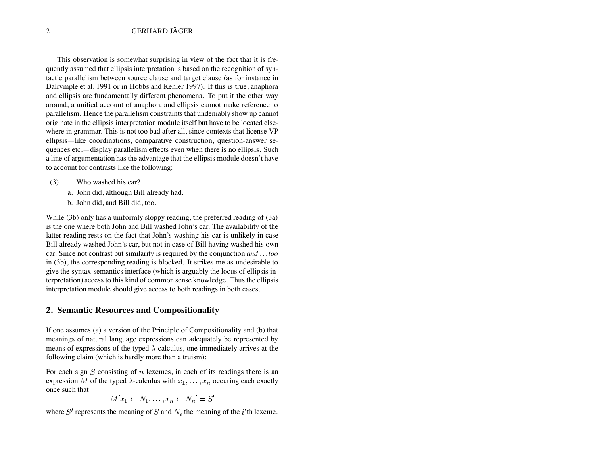This observation is somewhat surprising in view of the fact that it is frequently assumed that ellipsis interpretation is based on the recognition of syntactic parallelism between source clause and target clause (as for instance in Dalrymple et al. 1991 or in Hobbs and Kehler 1997). If this is true, anaphora and ellipsis are fundamentally different phenomena. To put it the other way around, a unified account of anaphora and ellipsis cannot make reference to parallelism. Hence the parallelism constraints that undeniably show up cannot originate in the ellipsis interpretation module itself but have to be located elsewhere in grammar. This is not too bad after all, since contexts that license VP ellipsis—like coordinations, comparative construction, question-answer sequences etc.—display parallelism effects even when there is no ellipsis. Such a line of argumentation has the advantage that the ellipsis module doesn't have to account for contrasts like the following:

- (3) Who washed his car?
	- a. John did, although Bill already had.
	- b. John did, and Bill did, too.

While (3b) only has a uniformly sloppy reading, the preferred reading of (3a) is the one where both John and Bill washed John's car. The availability of the latter reading rests on the fact that John's washing his car is unlikely in case Bill already washed John's car, but not in case of Bill having washed his own car. Since not contrast but similarity is required by the conjunction *and . . . too* in (3b), the corresponding reading is blocked. It strikes me as undesirable to give the syntax-semantics interface (which is arguably the locus of ellipsis interpretation) access to this kind of common sense knowledge. Thus the ellipsis interpretation module should give access to both readings in both cases.

#### **2. Semantic Resources and Compositionality**

If one assumes (a) a version of the Principle of Compositionality and (b) that meanings of natural language expressions can adequately be represented by means of expressions of the typed  $\lambda$ -calculus, one immediately arrives at the following claim (which is hardly more than a truism):

For each sign  $S$  consisting of  $n$  lexemes, in each of its readings there is an expression M of the typed  $\lambda$ -calculus with  $x_1, \ldots, x_n$  occuring each exactly once such that

$$
M[x_1 \leftarrow N_1, \dots, x_n \leftarrow N_n] = S'
$$

where  $S'$  represents the meaning of  $S$  and  $N_i$  the meaning of the i'th lexeme.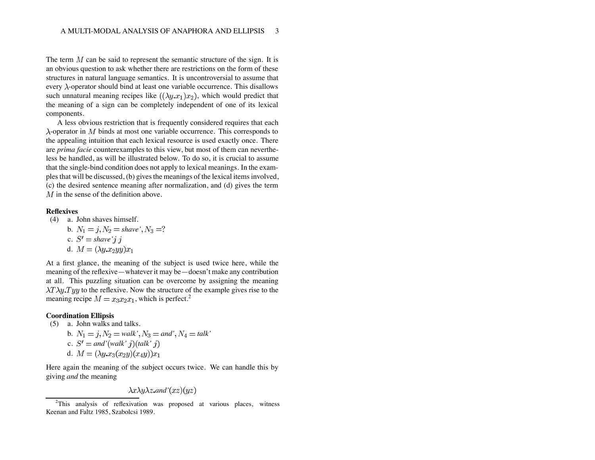The term  $M$  can be said to represent the semantic structure of the sign. It is an obvious question to ask whether there are restrictions on the form of these structures in natural language semantics. It is uncontroversial to assume that every  $\lambda$ -operator should bind at least one variable occurrence. This disallows such unnatural meaning recipes like  $((\lambda y.x_1)x_2)$ , which would predict that the meaning of a sign can be completely independent of one of its lexical components.

A less obvious restriction that is frequently considered requires that each  $\lambda$ -operator in  $M$  binds at most one variable occurrence. This corresponds to the appealing intuition that each lexical resource is used exactly once. There are *prima facie* counterexamples to this view, but most of them can nevertheless be handled, as will be illustrated below. To do so, it is crucial to assume that the single-bind condition does not apply to lexical meanings. In the examples that will be discussed, (b) gives the meanings of the lexical items involved, (c) the desired sentence meaning after normalization, and (d) gives the term  $M$  in the sense of the definition above.

#### **Reflexives**

(4) a. John shaves himself.  
\nb. 
$$
N_1 = j, N_2 = \text{shape}'
$$
,  $N_3 = ?$   
\nc.  $S' = \text{shape}' j j$   
\nd.  $M = (\lambda y.x_2yy)x_1$ 

At a first glance, the meaning of the subject is used twice here, while the meaning of the reflexive—whatever it may be—doesn't make any contribution at all. This puzzling situation can be overcome by assigning the meaning  $\lambda T \lambda y$ . Ty to the reflexive. Now the structure of the example gives rise to the meaning recipe  $M = x_3x_2x_1$ , which is perfect.<sup>2</sup>

#### **Coordination Ellipsis**

- (5) a. John walks and talks.
	- b.  $N_1 = j$ ,  $N_2 = walk'$ ,  $N_3 = and'$ ,  $N_4 = talk'$ c.  $S' =$  and'(walk' j)(talk' j) d.  $M = (\lambda y.x_3(x_2y)(x_4y))x_1$

Here again the meaning of the subject occurs twice. We can handle this by giving *and* the meaning

$$
\lambda x \lambda y \lambda z
$$
. and  $'(xz)(yz)$ 

<sup>&</sup>lt;sup>2</sup>This analysis of reflexivation was proposed at various places, witness Keenan and Faltz 1985, Szabolcsi 1989.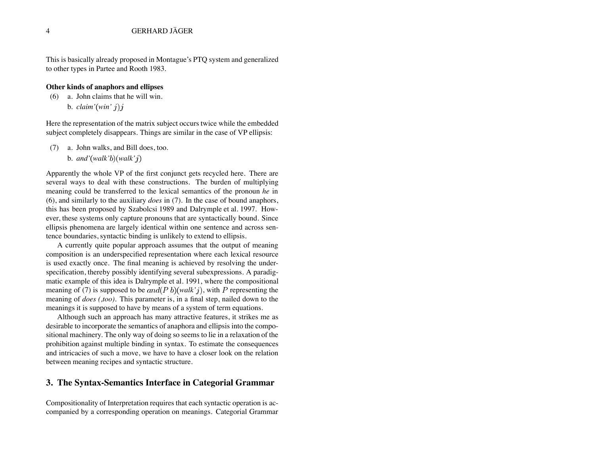This is basically already proposed in Montague's PTQ system and generalized to other types in Partee and Rooth 1983.

#### **Other kinds of anaphors and ellipses**

(6) a. John claims that he will win.

b.  $claim'(win' i)i$ 

Here the representation of the matrix subject occurs twice while the embedded subject completely disappears. Things are similar in the case of VP ellipsis:

- (7) a. John walks, and Bill does, too.
	- b.  $and'(walk'b)(walk'i)$

Apparently the whole VP of the first conjunct gets recycled here. There are several ways to deal with these constructions. The burden of multiplying meaning could be transferred to the lexical semantics of the pronoun *he* in (6), and similarly to the auxiliary *does* in (7). In the case of bound anaphors, this has been proposed by Szabolcsi 1989 and Dalrymple et al. 1997. However, these systems only capture pronouns that are syntactically bound. Since ellipsis phenomena are largely identical within one sentence and across sentence boundaries, syntactic binding is unlikely to extend to ellipsis.

A currently quite popular approach assumes that the output of meaning composition is an underspecified representation where each lexical resource is used exactly once. The final meaning is achieved by resolving the underspecification, thereby possibly identifying several subexpressions. A paradigmatic example of this idea is Dalrymple et al. 1991, where the compositional meaning of (7) is supposed to be  $and(Pb)(walk<sup>'</sup>j)$ , with P representing the meaning of *does (,too)*. This parameter is, in a final step, nailed down to the meanings it is supposed to have by means of a system of term equations.

Although such an approach has many attractive features, it strikes me as desirable to incorporate the semantics of anaphora and ellipsis into the compositional machinery. The only way of doing so seems to lie in a relaxation of the prohibition against multiple binding in syntax. To estimate the consequences and intricacies of such a move, we have to have a closer look on the relation between meaning recipes and syntactic structure.

#### **3. The Syntax-Semantics Interface in Categorial Grammar**

Compositionality of Interpretation requires that each syntactic operation is accompanied by a corresponding operation on meanings. Categorial Grammar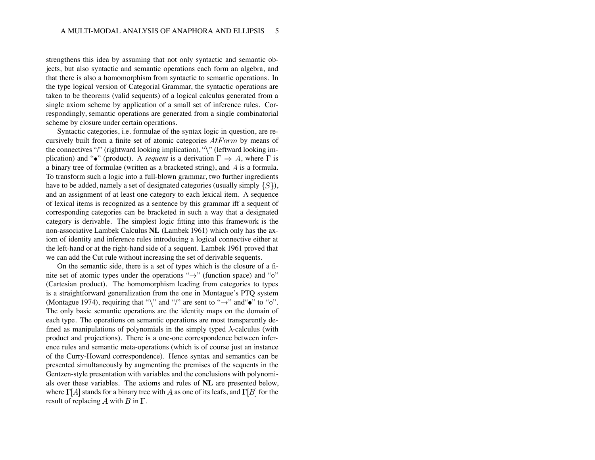strengthens this idea by assuming that not only syntactic and semantic objects, but also syntactic and semantic operations each form an algebra, and that there is also a homomorphism from syntactic to semantic operations. In the type logical version of Categorial Grammar, the syntactic operations are taken to be theorems (valid sequents) of a logical calculus generated from a single axiom scheme by application of a small set of inference rules. Correspondingly, semantic operations are generated from a single combinatorial scheme by closure under certain operations.

Syntactic categories, i.e. formulae of the syntax logic in question, are recursively built from a finite set of atomic categories  $AtForm$  by means of the connectives "/" (rightward looking implication), " $\$ " (leftward looking implication) and " $\bullet$ " (product). A *sequent* is a derivation  $\Gamma \Rightarrow A$ , where  $\Gamma$  is a binary tree of formulae (written as a bracketed string), and  $A$  is a formula. To transform such a logic into a full-blown grammar, two further ingredients have to be added, namely a set of designated categories (usually simply  $\{S\}$ ), and an assignment of at least one category to each lexical item. A sequence of lexical items is recognized as a sentence by this grammar iff a sequent of corresponding categories can be bracketed in such a way that a designated category is derivable. The simplest logic fitting into this framework is the non-associative Lambek Calculus **NL** (Lambek 1961) which only has the axiom of identity and inference rules introducing a logical connective either at the left-hand or at the right-hand side of a sequent. Lambek 1961 proved that we can add the Cut rule without increasing the set of derivable sequents.

On the semantic side, there is a set of types which is the closure of a finite set of atomic types under the operations " $\rightarrow$ " (function space) and " $\circ$ " (Cartesian product). The homomorphism leading from categories to types is a straightforward generalization from the one in Montague's PTQ system (Montague 1974), requiring that " $\mathcal{C}$ " and "/" are sent to " $\rightarrow$ " and " $\bullet$ " to " $\circ$ ". The only basic semantic operations are the identity maps on the domain of each type. The operations on semantic operations are most transparently defined as manipulations of polynomials in the simply typed  $\lambda$ -calculus (with product and projections). There is a one-one correspondence between inference rules and semantic meta-operations (which is of course just an instance of the Curry-Howard correspondence). Hence syntax and semantics can be presented simultaneously by augmenting the premises of the sequents in the Gentzen-style presentation with variables and the conclusions with polynomials over these variables. The axioms and rules of **NL** are presented below, where  $\Gamma[A]$  stands for a binary tree with A as one of its leafs, and  $\Gamma[B]$  for the result of replacing  $A$  with  $B$  in  $\Gamma$ .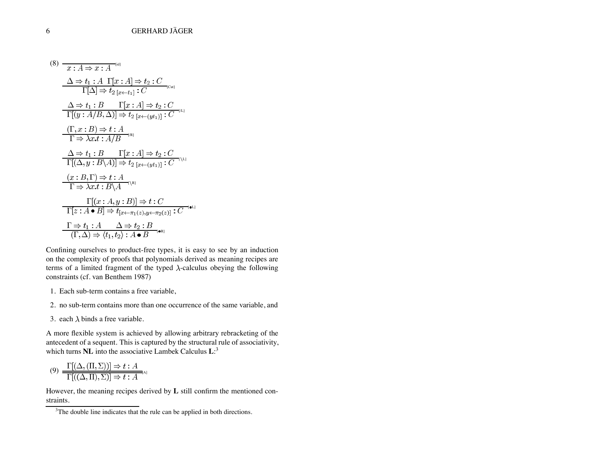(8) [id] [Cut] [/L] [/R] [ L] [ R] [ L] [ R] 

Confining ourselves to product-free types, it is easy to see by an induction on the complexity of proofs that polynomials derived as meaning recipes are terms of a limited fragment of the typed  $\lambda$ -calculus obeying the following constraints (cf. van Benthem 1987)

- 1. Each sub-term contains a free variable,
- 2. no sub-term contains more than one occurrence of the same variable, and
- 3. each  $\lambda$  binds a free variable.

A more flexible system is achieved by allowing arbitrary rebracketing of the antecedent of a sequent. This is captured by the structural rule of associativity, which turns **NL** into the associative Lambek Calculus **L**: 3

$$
(9) \frac{\Gamma[(\Delta, (\Pi, \Sigma))] \Rightarrow t : A}{\Gamma[(\Delta, \Pi), \Sigma)] \Rightarrow t : A
$$

However, the meaning recipes derived by **L** still confirm the mentioned constraints.

 $3$ The double line indicates that the rule can be applied in both directions.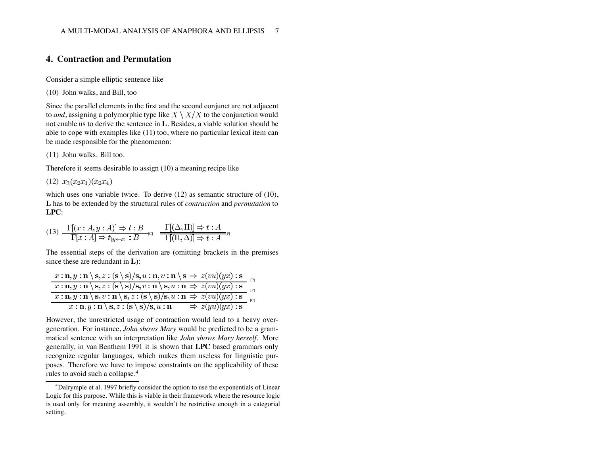## **4. Contraction and Permutation**

Consider a simple elliptic sentence like

(10) John walks, and Bill, too

Since the parallel elements in the first and the second conjunct are not adjacent to *and*, assigning a polymorphic type like  $X \setminus X/X$  to the conjunction would not enable us to derive the sentence in **L**. Besides, a viable solution should be able to cope with examples like (11) too, where no particular lexical item can be made responsible for the phenomenon:

(11) John walks. Bill too.

Therefore it seems desirable to assign (10) a meaning recipe like

 $(12)$   $x_3(x_2x_1)(x_2x_4)$ 

which uses one variable twice. To derive (12) as semantic structure of (10), **L** has to be extended by the structural rules of *contraction* and *permutation* to **LPC**:

$$
(13) \frac{\Gamma[(x:A,y:A)] \Rightarrow t:B}{\Gamma[x:A] \Rightarrow t_{[y \leftarrow x]}:B} \frac{\Gamma[(\Delta,\Pi)] \Rightarrow t:A}{\Gamma[(\Pi,\Delta)] \Rightarrow t:A}^{[p]}
$$

The essential steps of the derivation are (omitting brackets in the premises since these are redundant in **L**):

| $x : \mathbf{n}, y : \mathbf{n} \setminus \mathbf{s}, z : (\mathbf{s} \setminus \mathbf{s})/\mathbf{s}, u : \mathbf{n}, v : \mathbf{n} \setminus \mathbf{s} \Rightarrow z(vu)(yx) : \mathbf{s}$            |  |
|------------------------------------------------------------------------------------------------------------------------------------------------------------------------------------------------------------|--|
| $\overline{x : \mathbf{n}, y : \mathbf{n} \setminus \mathbf{s}, z : (\mathbf{s} \setminus \mathbf{s})/\mathbf{s}, v : \mathbf{n} \setminus \mathbf{s}, u : \mathbf{n} \Rightarrow z(vu)(yx) : \mathbf{s}}$ |  |
| $\overline{x : \mathbf{n}, y : \mathbf{n} \setminus \mathbf{s}, v : \mathbf{n} \setminus \mathbf{s}, z : (\mathbf{s} \setminus \mathbf{s})/\mathbf{s}, u : \mathbf{n} \Rightarrow z(vu)(yx) : \mathbf{s}}$ |  |
| $\Rightarrow z(yu)(yx)$ : s<br>$x:\mathbf{n},y:\mathbf{n}\setminus\mathbf{s},z:(\mathbf{s}\setminus\mathbf{s})/\mathbf{s},u:\mathbf{n}$                                                                    |  |

However, the unrestricted usage of contraction would lead to a heavy overgeneration. For instance, *John shows Mary* would be predicted to be a grammatical sentence with an interpretation like *John shows Mary herself*. More generally, in van Benthem 1991 it is shown that **LPC** based grammars only recognize regular languages, which makes them useless for linguistic purposes. Therefore we have to impose constraints on the applicability of these rules to avoid such a collapse.<sup>4</sup>

<sup>&</sup>lt;sup>4</sup>Dalrymple et al. 1997 briefly consider the option to use the exponentials of Linear Logic for this purpose. While this is viable in their framework where the resource logic is used only for meaning assembly, it wouldn't be restrictive enough in a categorial setting.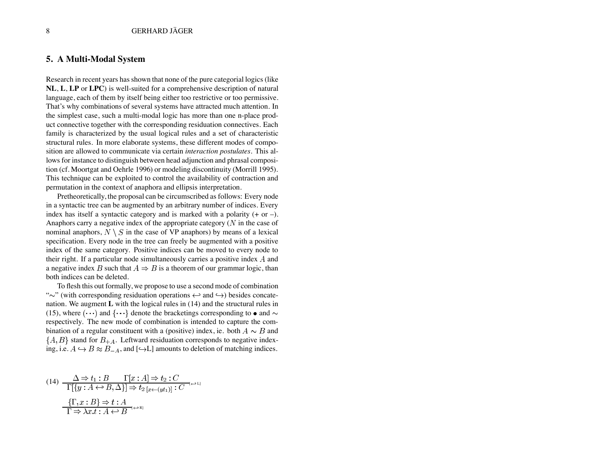#### **5. A Multi-Modal System**

Research in recent years has shown that none of the pure categorial logics (like **NL**, **L**, **LP** or **LPC**) is well-suited for a comprehensive description of natural language, each of them by itself being either too restrictive or too permissive. That's why combinations of several systems have attracted much attention. In the simplest case, such a multi-modal logic has more than one n-place product connective together with the corresponding residuation connectives. Each family is characterized by the usual logical rules and a set of characteristic structural rules. In more elaborate systems, these different modes of composition are allowed to communicate via certain *interaction postulates*. This allows for instance to distinguish between head adjunction and phrasal composition (cf. Moortgat and Oehrle 1996) or modeling discontinuity (Morrill 1995). This technique can be exploited to control the availability of contraction and permutation in the context of anaphora and ellipsis interpretation.

Pretheoretically, the proposal can be circumscribed as follows: Every node in a syntactic tree can be augmented by an arbitrary number of indices. Every index has itself a syntactic category and is marked with a polarity  $(+ or -)$ . Anaphors carry a negative index of the appropriate category  $(N \text{ in the case of})$ nominal anaphors,  $N \setminus S$  in the case of VP anaphors) by means of a lexical specification. Every node in the tree can freely be augmented with a positive index of the same category. Positive indices can be moved to every node to their right. If a particular node simultaneously carries a positive index  $A$  and a negative index B such that  $A \Rightarrow B$  is a theorem of our grammar logic, than both indices can be deleted.

To flesh this out formally, we propose to use a second mode of combination " $\sim$ " (with corresponding residuation operations  $\leftrightarrow$  and  $\leftrightarrow$ ) besides concatenation. We augment **L** with the logical rules in (14) and the structural rules in (15), where  $(\cdots)$  and  $\{\cdots\}$  denote the bracketings corresponding to  $\bullet$  and  $\sim$ respectively. The new mode of combination is intended to capture the combination of a regular constituent with a (positive) index, ie. both  $A \sim B$  and  $\{A, B\}$  stand for  $B_{+A}$ . Leftward residuation corresponds to negative indexing, i.e.  $A \hookrightarrow B \approx B_{-A}$ , and [ $\hookrightarrow$ L] amounts to deletion of matching indices.

$$
(14) \frac{\Delta \Rightarrow t_1 : B \qquad \Gamma[x:A] \Rightarrow t_2 : C}{\Gamma[\{y : A \leftrightarrow B, \Delta\}] \Rightarrow t_2}_{[x \leftarrow (yt_1)]} : C \qquad \qquad \frac{\Gamma[x:B] \Rightarrow t : A}{\Gamma \Rightarrow \lambda x.t : A \leftrightarrow B} \qquad \qquad \frac{\Gamma[x:B]}{\Gamma \Rightarrow \Delta x.t : A \leftrightarrow B} \qquad \qquad \frac{\Gamma[x:B]}{\Gamma \Rightarrow \Delta x.t : A \leftrightarrow B} \qquad \qquad \frac{\Gamma[x:B]}{\Gamma \Rightarrow \Delta x.t : A \leftrightarrow B} \qquad \qquad \frac{\Gamma[x:B]}{\Gamma \Rightarrow \Delta x.t : A \leftrightarrow B} \qquad \qquad \frac{\Gamma[x:B]}{\Gamma \Rightarrow \Delta x.t : A \leftrightarrow B} \qquad \frac{\Gamma[x:B]}{\Gamma \Rightarrow \Delta x.t : A \leftrightarrow B} \qquad \frac{\Gamma[x:B]}{\Gamma \Rightarrow \Delta x.t : A \leftrightarrow B} \qquad \frac{\Gamma[x:B]}{\Gamma \Rightarrow \Delta x.t : A \leftrightarrow B} \qquad \frac{\Gamma[x:B]}{\Gamma \Rightarrow \Delta x.t : A \leftrightarrow B} \qquad \frac{\Gamma[x:B]}{\Gamma \Rightarrow \Delta x.t : A \leftrightarrow B} \qquad \frac{\Gamma[x:B]}{\Gamma \Rightarrow \Delta x.t : A \leftrightarrow B} \qquad \frac{\Gamma[x:B]}{\Gamma \Rightarrow \Delta x.t : A \leftrightarrow B} \qquad \frac{\Gamma[x:B]}{\Gamma \Rightarrow \Delta x.t : A \leftrightarrow B} \qquad \frac{\Gamma[x:B]}{\Gamma \Rightarrow \Delta x.t : A \leftrightarrow B} \qquad \frac{\Gamma[x:B]}{\Gamma \Rightarrow \Delta x.t : A \leftrightarrow B} \qquad \frac{\Gamma[x:B]}{\Gamma \Rightarrow \Delta x.t : A \leftrightarrow B} \qquad \frac{\Gamma[x:B]}{\Gamma \Rightarrow \Delta x.t : A \leftrightarrow B} \qquad \frac{\Gamma[x:B]}{\Gamma \Rightarrow \Delta x.t : A \leftrightarrow B} \qquad \frac{\Gamma[x:B]}{\Gamma \Rightarrow \Delta x.t : A \leftrightarrow B} \qquad \frac{\Gamma[x:B]}{\Gamma \Rightarrow \Delta x.t : A \leftrightarrow B} \qquad \frac{\Gamma[x:B]}{\Gamma \Rightarrow \Delta x.t : A \leftrightarrow B} \qquad \frac{\Gamma[x:B]}{\Gamma \Rightarrow \Delta x.t : A \leftrightarrow B} \qquad \frac{\Gamma[x:B]}{\Gamma \Rightarrow \Delta x.t : A \leftrightarrow B} \qquad \frac{\Gamma[x:B]}{\Gamma \Rightarrow \Delta x.t : A \leftrightarrow B} \qquad \frac{\Gamma[x:B]}{\Gamma \Rightarrow \Delta x.t : A \leftrightarrow B} \qquad \frac{\Gamma[x:B]}{\Gamma \Rightarrow \Delta x.t : A \leftrightarrow B} \qquad \frac{\Gamma[x:B]}{\Gamma \Rightarrow \Delta x.t : A \leftrightarrow B
$$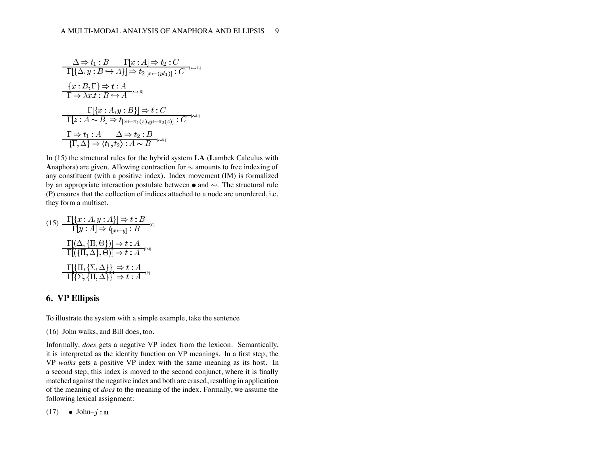[ L] [ R] [ L] [ R]

In (15) the structural rules for the hybrid system **LA** (**L**ambek Calculus with **Anaphora**) are given. Allowing contraction for  $\sim$  amounts to free indexing of any constituent (with a positive index). Index movement (IM) is formalized by an appropriate interaction postulate between  $\bullet$  and  $\sim$ . The structural rule (P) ensures that the collection of indices attached to a node are unordered, i.e. they form a multiset.

$$
(15) \frac{\Gamma[\{x:A,y:A\}] \Rightarrow t:B}{\Gamma[y:A] \Rightarrow t_{[x \leftarrow y]} : B}c
$$
\n
$$
\frac{\Gamma[(\Delta, \{\Pi, \Theta\})] \Rightarrow t:A}{\Gamma[(\{\Pi, \Delta\}, \Theta)] \Rightarrow t:A}c
$$
\n
$$
\frac{\Gamma[\{\Pi, \{\Sigma, \Delta\}\}] \Rightarrow t:A}{\Gamma[\{\Sigma, \{\Pi, \Delta\}\}] \Rightarrow t:A}c
$$

### **6. VP Ellipsis**

To illustrate the system with a simple example, take the sentence

(16) John walks, and Bill does, too.

Informally, *does* gets a negative VP index from the lexicon. Semantically, it is interpreted as the identity function on VP meanings. In a first step, the VP *walks* gets a positive VP index with the same meaning as its host. In a second step, this index is moved to the second conjunct, where it is finally matched against the negative index and both are erased, resulting in application of the meaning of *does* to the meaning of the index. Formally, we assume the following lexical assignment:

(17) • John– $j : \mathbf{n}$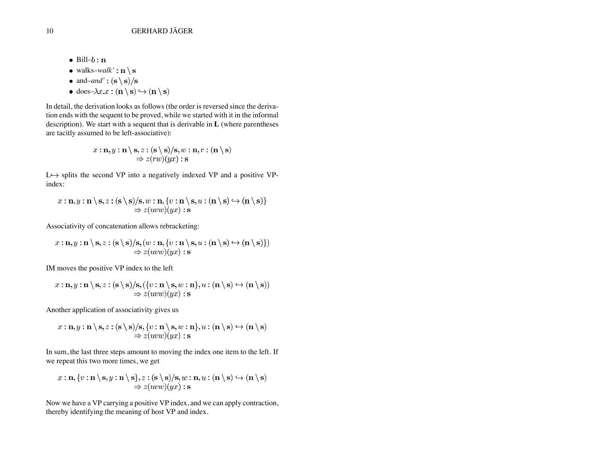- $\bullet$  Bill– $b:$ **n**
- walks–*walk'*:  $\mathbf{n} \setminus \mathbf{s}$
- and–*and'*:  $(\mathbf{s} \setminus \mathbf{s})/\mathbf{s}$
- does– $\lambda x. x : (n \setminus s) \hookrightarrow (n \setminus s)$

In detail, the derivation looks as follows (the order is reversed since the derivation ends with the sequent to be proved, while we started with it in the informal description). We start with a sequent that is derivable in **L** (where parentheses are tacitly assumed to be left-associative):

$$
x : \mathbf{n}, y : \mathbf{n} \setminus \mathbf{s}, z : (\mathbf{s} \setminus \mathbf{s})/\mathbf{s}, w : \mathbf{n}, r : (\mathbf{n} \setminus \mathbf{s}) \Rightarrow z(rw)(yx) : \mathbf{s}
$$

 $L \rightarrow$  splits the second VP into a negatively indexed VP and a positive VPindex:

$$
x:\mathbf{n}, y:\mathbf{n}\setminus\mathbf{s}, z:(\mathbf{s}\setminus\mathbf{s})/\mathbf{s}, w:\mathbf{n}, \{v:\mathbf{n}\setminus\mathbf{s}, u:(\mathbf{n}\setminus\mathbf{s})\hookrightarrow(\mathbf{n}\setminus\mathbf{s})\}\ \Rightarrow z(uvw)(yx):\mathbf{s}
$$

Associativity of concatenation allows rebracketing:

$$
x : \mathbf{n}, y : \mathbf{n} \setminus \mathbf{s}, z : (\mathbf{s} \setminus \mathbf{s})/\mathbf{s}, (w : \mathbf{n}, \{v : \mathbf{n} \setminus \mathbf{s}, u : (\mathbf{n} \setminus \mathbf{s}) \hookrightarrow (\mathbf{n} \setminus \mathbf{s})\})
$$
  
\n
$$
\Rightarrow z(uvw)(yx) : \mathbf{s}
$$

IM moves the positive VP index to the left

$$
x : \mathbf{n}, y : \mathbf{n} \setminus \mathbf{s}, z : (\mathbf{s} \setminus \mathbf{s})/\mathbf{s}, (\{v : \mathbf{n} \setminus \mathbf{s}, w : \mathbf{n}\}, u : (\mathbf{n} \setminus \mathbf{s}) \hookrightarrow (\mathbf{n} \setminus \mathbf{s}))
$$
  
\n
$$
\Rightarrow z(uvw)(yx) : \mathbf{s}
$$

Another application of associativity gives us

$$
x : \mathbf{n}, y : \mathbf{n} \setminus \mathbf{s}, z : (\mathbf{s} \setminus \mathbf{s})/\mathbf{s}, \{v : \mathbf{n} \setminus \mathbf{s}, w : \mathbf{n}\}, u : (\mathbf{n} \setminus \mathbf{s}) \hookrightarrow (\mathbf{n} \setminus \mathbf{s})
$$
  
\n
$$
\Rightarrow z(uvw)(yx) : \mathbf{s}
$$

In sum, the last three steps amount to moving the index one item to the left. If we repeat this two more times, we get

$$
x : \mathbf{n}, \{v : \mathbf{n} \setminus \mathbf{s}, y : \mathbf{n} \setminus \mathbf{s}\}, z : (\mathbf{s} \setminus \mathbf{s})/\mathbf{s}, w : \mathbf{n}, u : (\mathbf{n} \setminus \mathbf{s}) \hookrightarrow (\mathbf{n} \setminus \mathbf{s}) \Rightarrow z(uvw)(yx) : \mathbf{s}
$$

Now we have a VP carrying a positive VP index, and we can apply contraction, thereby identifying the meaning of host VP and index.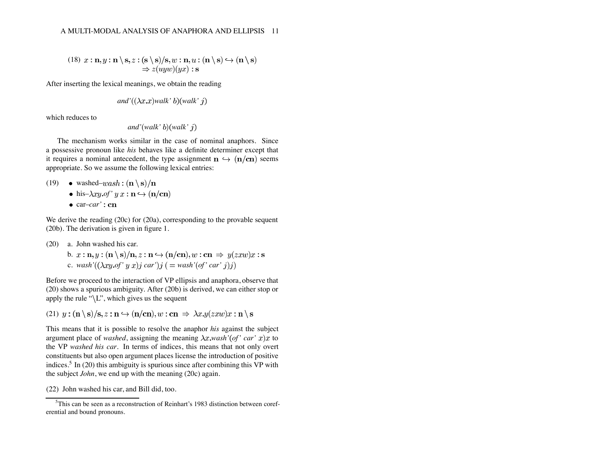(18) 
$$
x : \mathbf{n}, y : \mathbf{n} \setminus \mathbf{s}, z : (\mathbf{s} \setminus \mathbf{s})/\mathbf{s}, w : \mathbf{n}, u : (\mathbf{n} \setminus \mathbf{s}) \hookrightarrow (\mathbf{n} \setminus \mathbf{s})
$$
  
\n $\Rightarrow z(uyw)(yx) : \mathbf{s}$ 

After inserting the lexical meanings, we obtain the reading

and' 
$$
((\lambda x.x)walk' b)(walk' j)
$$

which reduces to

*and' walk' walk'*

The mechanism works similar in the case of nominal anaphors. Since a possessive pronoun like *his* behaves like a definite determiner except that it requires a nominal antecedent, the type assignment  $n \leftrightarrow (n/cn)$  seems appropriate. So we assume the following lexical entries:

- (19) washed–*wash*:  $(\mathbf{n} \setminus \mathbf{s})/\mathbf{n}$ 
	- $\bullet$  his– $\lambda xy.$ *of'*  $y x : \mathbf{n} \hookrightarrow (\mathbf{n}/\mathbf{cn})$
	- $\bullet$  car–*car'* : cn

We derive the reading (20c) for (20a), corresponding to the provable sequent (20b). The derivation is given in figure 1.

- (20) a. John washed his car.
	- b.  $x : \mathbf{n}, y : (\mathbf{n} \setminus \mathbf{s})/\mathbf{n}, z : \mathbf{n} \hookrightarrow (\mathbf{n}/\mathbf{cn}), w : \mathbf{cn} \Rightarrow y(zxw)x : \mathbf{s}$ c. wash' $((\lambda xy. of' y x)j car')j (= wash'(of' car' j)j)$

Before we proceed to the interaction of VP ellipsis and anaphora, observe that (20) shows a spurious ambiguity. After (20b) is derived, we can either stop or apply the rule " $\langle L \rangle$ ", which gives us the sequent

(21)  $y: (\mathbf{n} \setminus \mathbf{s})/\mathbf{s}, z: \mathbf{n} \hookrightarrow (\mathbf{n}/\mathbf{cn}), w: \mathbf{cn} \Rightarrow \lambda x. y(zxw)x: \mathbf{n} \setminus \mathbf{s}$ 

This means that it is possible to resolve the anaphor *his* against the subject argument place of *washed*, assigning the meaning  $\lambda x$ *wash'* (*of' car' x*)*x* to the VP *washed his car*. In terms of indices, this means that not only overt constituents but also open argument places license the introduction of positive indices.<sup>5</sup> In (20) this ambiguity is spurious since after combining this VP with the subject *John*, we end up with the meaning (20c) again.

(22) John washed his car, and Bill did, too.

<sup>&</sup>lt;sup>5</sup>This can be seen as a reconstruction of Reinhart's 1983 distinction between coreferential and bound pronouns.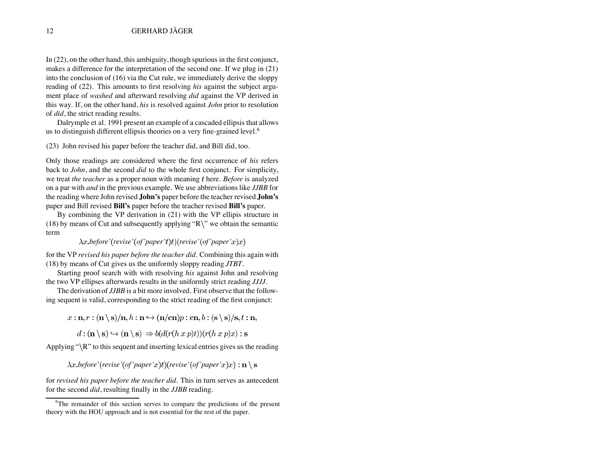In (22), on the other hand, this ambiguity, though spurious in the first conjunct, makes a difference for the interpretation of the second one. If we plug in (21) into the conclusion of (16) via the Cut rule, we immediately derive the sloppy reading of (22). This amounts to first resolving *his* against the subject argument place of *washed* and afterward resolving *did* against the VP derived in this way. If, on the other hand, *his* is resolved against *John* prior to resolution of *did*, the strict reading results.

Dalrymple et al. 1991 present an example of a cascaded ellipsis that allows us to distinguish different ellipsis theories on a very fine-grained level.<sup>6</sup>

(23) John revised his paper before the teacher did, and Bill did, too.

Only those readings are considered where the first occurrence of *his* refers back to *John*, and the second *did* to the whole first conjunct. For simplicity, we treat *the teacher* as a proper noun with meaning t here. *Before* is analyzed on a par with *and* in the previous example. We use abbreviations like *JJBB* for the reading where John revised **John's** paper before the teacher revised **John's** paper and Bill revised **Bill's** paper before the teacher revised **Bill's** paper.

By combining the VP derivation in (21) with the VP ellipis structure in (18) by means of Cut and subsequently applying " $R$ " we obtain the semantic term

 $\lambda x.$  *before'* (*revise'* (*of'paper't*)*t*)(*revise'* (*of'paper'x*)*x*)

for the VP *revised his paper before the teacher did*. Combining this again with (18) by means of Cut gives us the uniformly sloppy reading *JTBT*.

Starting proof search with with resolving *his* against John and resolving the two VP ellipses afterwards results in the uniformly strict reading *JJJJ*.

The derivation of *JJBB* is a bit more involved. First observe that the following sequent is valid, corresponding to the strict reading of the first conjunct:

 $x:\mathbf{n}, r:(\mathbf{n}\setminus \mathbf{s})/\mathbf{n}, h:\mathbf{n}\hookrightarrow (\mathbf{n}/\mathbf{cn})p:\mathbf{cn}, b:(\mathbf{s}\setminus \mathbf{s})/\mathbf{s}, t:\mathbf{n},$ 

 $d:(\mathbf{n}\setminus\mathbf{s})\hookrightarrow(\mathbf{n}\setminus\mathbf{s})\Rightarrow b(d(r(h\ x\ p)t))(r(h\ x\ p)x):$  s

Applying " $\R$ " to this sequent and inserting lexical entries gives us the reading

 $\lambda x.$  *before'* (*revise'* (*of'* paper'x)t) (*revise'* (*of'* paper'x)x) :  $\mathbf{n} \setminus \mathbf{s}$ 

for *revised his paper before the teacher did*. This in turn serves as antecedent for the second *did*, resulting finally in the *JJBB* reading.

<sup>&</sup>lt;sup>6</sup>The remainder of this section serves to compare the predictions of the present theory with the HOU approach and is not essential for the rest of the paper.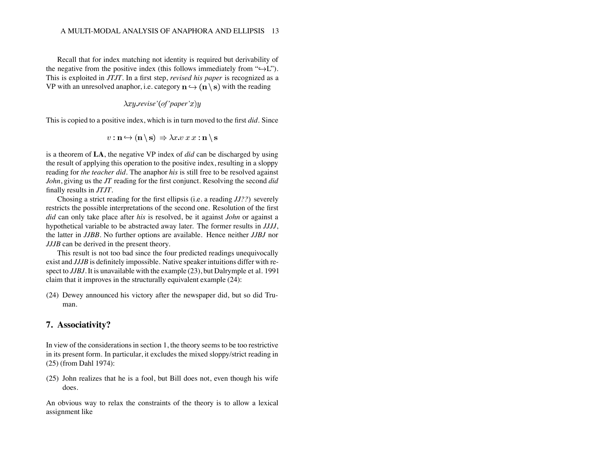Recall that for index matching not identity is required but derivability of the negative from the positive index (this follows immediately from " $\hookrightarrow$ L"). This is exploited in *JTJT*. In a first step, *revised his paper* is recognized as a VP with an unresolved anaphor, i.e. category  $\mathbf{n} \leftrightarrow (\mathbf{n} \setminus \mathbf{s})$  with the reading

$$
\lambda xy
$$
.*revise'* (*of*'*paper*'*x*)*y*

This is copied to a positive index, which is in turn moved to the first *did*. Since

$$
v: \mathbf{n} \hookrightarrow (\mathbf{n} \setminus \mathbf{s}) \Rightarrow \lambda x. v x x : \mathbf{n} \setminus \mathbf{s}
$$

is a theorem of **LA**, the negative VP index of *did* can be discharged by using the result of applying this operation to the positive index, resulting in a sloppy reading for *the teacher did*. The anaphor *his* is still free to be resolved against *John*, giving us the *JT* reading for the first conjunct. Resolving the second *did* finally results in *JTJT*.

Chosing a strict reading for the first ellipsis (i.e. a reading *JJ??*) severely restricts the possible interpretations of the second one. Resolution of the first *did* can only take place after *his* is resolved, be it against *John* or against a hypothetical variable to be abstracted away later. The former results in *JJJJ*, the latter in *JJBB*. No further options are available. Hence neither *JJBJ* nor *JJJB* can be derived in the present theory.

This result is not too bad since the four predicted readings unequivocally exist and *JJJB* is definitely impossible. Native speaker intuitions differ with respect to *JJBJ*. It is unavailable with the example (23), but Dalrymple et al. 1991 claim that it improves in the structurally equivalent example (24):

(24) Dewey announced his victory after the newspaper did, but so did Truman.

#### **7. Associativity?**

In view of the considerations in section 1, the theory seems to be too restrictive in its present form. In particular, it excludes the mixed sloppy/strict reading in (25) (from Dahl 1974):

(25) John realizes that he is a fool, but Bill does not, even though his wife does.

An obvious way to relax the constraints of the theory is to allow a lexical assignment like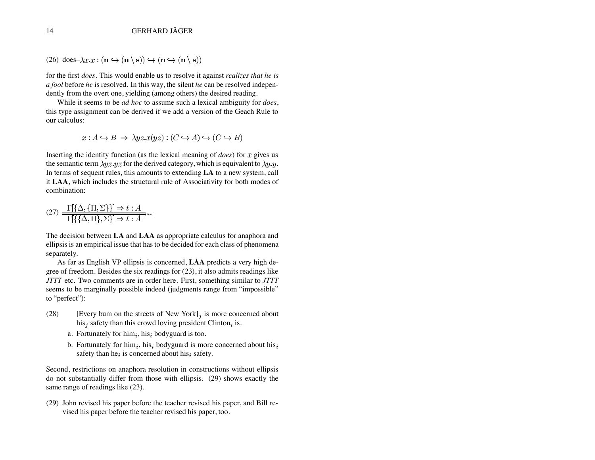(26) does- $\lambda x \cdot x : (\mathbf{n} \hookrightarrow (\mathbf{n} \setminus \mathbf{s})) \hookrightarrow (\mathbf{n} \hookrightarrow (\mathbf{n} \setminus \mathbf{s}))$ 

for the first *does*. This would enable us to resolve it against *realizes that he is a fool* before *he* is resolved. In this way, the silent *he* can be resolved independently from the overt one, yielding (among others) the desired reading.

While it seems to be *ad hoc* to assume such a lexical ambiguity for *does*, this type assignment can be derived if we add a version of the Geach Rule to our calculus:

$$
x: A \hookrightarrow B \implies \lambda yz \cdot x(yz) : (C \hookrightarrow A) \hookrightarrow (C \hookrightarrow B)
$$

Inserting the identity function (as the lexical meaning of  $does$ ) for  $x$  gives us the semantic term  $\lambda yz.yz$  for the derived category, which is equivalent to  $\lambda y.y$ . In terms of sequent rules, this amounts to extending **LA** to a new system, call it **LAA**, which includes the structural rule of Associativity for both modes of combination:

$$
(27) \frac{\Gamma[\{\Delta, \{\Pi, \Sigma\}\}] \Rightarrow t : A}{\Gamma[\{\{\Delta, \Pi\}, \Sigma\}] \Rightarrow t : A}
$$

The decision between **LA** and **LAA** as appropriate calculus for anaphora and ellipsis is an empirical issue that has to be decided for each class of phenomena separately.

As far as English VP ellipsis is concerned, **LAA** predicts a very high degree of freedom. Besides the six readings for (23), it also admits readings like *JTTT* etc. Two comments are in order here. First, something similar to *JTTT* seems to be marginally possible indeed (judgments range from "impossible" to "perfect"):

- (28) [Every bum on the streets of New York] is more concerned about his, safety than this crowd loving president Clinton, is.
	- a. Fortunately for  $\lim_i, \lim_i$  bodyguard is too.
	- b. Fortunately for  $\lim_{i}$ ,  $\lim_{i}$  bodyguard is more concerned about  $\lim_{i}$ safety than he<sub>i</sub> is concerned about his  $_i$  safety.

Second, restrictions on anaphora resolution in constructions without ellipsis do not substantially differ from those with ellipsis. (29) shows exactly the same range of readings like (23).

(29) John revised his paper before the teacher revised his paper, and Bill revised his paper before the teacher revised his paper, too.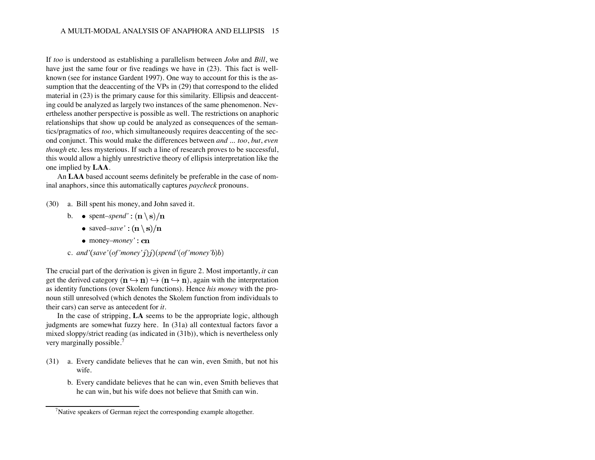If *too* is understood as establishing a parallelism between *John* and *Bill*, we have just the same four or five readings we have in (23). This fact is wellknown (see for instance Gardent 1997). One way to account for this is the assumption that the deaccenting of the VPs in (29) that correspond to the elided material in (23) is the primary cause for this similarity. Ellipsis and deaccenting could be analyzed as largely two instances of the same phenomenon. Nevertheless another perspective is possible as well. The restrictions on anaphoric relationships that show up could be analyzed as consequences of the semantics/pragmatics of *too*, which simultaneously requires deaccenting of the second conjunct. This would make the differences between *and ... too*, *but*, *even though* etc. less mysterious. If such a line of research proves to be successful, this would allow a highly unrestrictive theory of ellipsis interpretation like the one implied by **LAA**.

An **LAA** based account seems definitely be preferable in the case of nominal anaphors, since this automatically captures *paycheck* pronouns.

- (30) a. Bill spent his money, and John saved it.
	- b.  $\bullet$  spent–*spend'*:  $(\mathbf{n} \setminus \mathbf{s})/\mathbf{n}$ 
		- saved–*save*':  $(\mathbf{n} \setminus \mathbf{s})/\mathbf{n}$
		- money–*money*': cn
	- c. *and'* $(save'(of'money'j))$  $(spend'(of'money'b)b)$

The crucial part of the derivation is given in figure 2. Most importantly, *it* can get the derived category  $(n \hookrightarrow n) \hookrightarrow (n \hookrightarrow n)$ , again with the interpretation as identity functions (over Skolem functions). Hence *his money* with the pronoun still unresolved (which denotes the Skolem function from individuals to their cars) can serve as antecedent for *it*.

In the case of stripping, **LA** seems to be the appropriate logic, although judgments are somewhat fuzzy here. In (31a) all contextual factors favor a mixed sloppy/strict reading (as indicated in (31b)), which is nevertheless only very marginally possible.<sup>7</sup>

- (31) a. Every candidate believes that he can win, even Smith, but not his wife.
	- b. Every candidate believes that he can win, even Smith believes that he can win, but his wife does not believe that Smith can win.

<sup>&</sup>lt;sup>7</sup>Native speakers of German reject the corresponding example altogether.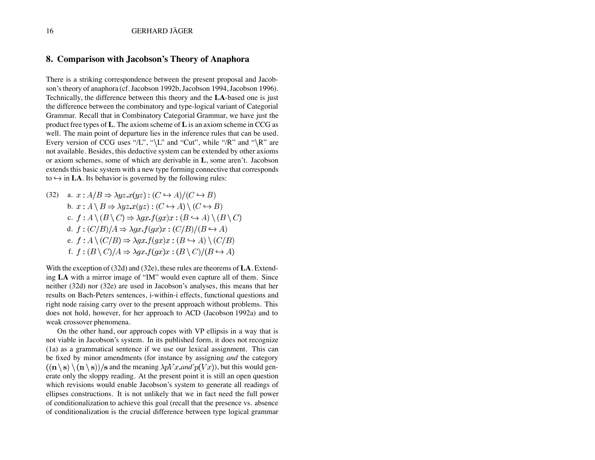#### **8. Comparison with Jacobson's Theory of Anaphora**

There is a striking correspondence between the present proposal and Jacobson's theory of anaphora (cf. Jacobson 1992b, Jacobson 1994, Jacobson 1996). Technically, the difference between this theory and the **LA**-based one is just the difference between the combinatory and type-logical variant of Categorial Grammar. Recall that in Combinatory Categorial Grammar, we have just the product free types of **L**. The axiom scheme of **L** is an axiom scheme in CCG as well. The main point of departure lies in the inference rules that can be used. Every version of CCG uses " $/L$ ", " $\setminus L$ " and "Cut", while "/R" and " $\setminus R$ " are not available. Besides, this deductive system can be extended by other axioms or axiom schemes, some of which are derivable in **L**, some aren't. Jacobson extends this basic system with a new type forming connective that corresponds to  $\hookrightarrow$  in **LA**. Its behavior is governed by the following rules:

(32) a. 
$$
x : A/B \Rightarrow \lambda yz.x(yz) : (C \leftrightarrow A)/(C \leftrightarrow B)
$$
  
\nb.  $x : A \setminus B \Rightarrow \lambda yz.x(yz) : (C \leftrightarrow A) \setminus (C \leftrightarrow B)$   
\nc.  $f : A \setminus (B \setminus C) \Rightarrow \lambda gx.f(gx)x : (B \leftrightarrow A) \setminus (B \setminus C)$   
\nd.  $f : (C/B)/A \Rightarrow \lambda gx.f(gx)x : (C/B)/(B \leftrightarrow A)$   
\ne.  $f : A \setminus (C/B) \Rightarrow \lambda gx.f(gx)x : (B \leftrightarrow A) \setminus (C/B)$   
\nf.  $f : (B \setminus C)/A \Rightarrow \lambda gx.f(gx)x : (B \setminus C)/(B \leftrightarrow A)$ 

With the exception of (32d) and (32e), these rules are theorems of **LA**. Extending **LA** with a mirror image of "IM" would even capture all of them. Since neither (32d) nor (32e) are used in Jacobson's analyses, this means that her results on Bach-Peters sentences, i-within-i effects, functional questions and right node raising carry over to the present approach without problems. This does not hold, however, for her approach to ACD (Jacobson 1992a) and to weak crossover phenomena.

On the other hand, our approach copes with VP ellipsis in a way that is not viable in Jacobson's system. In its published form, it does not recognize (1a) as a grammatical sentence if we use our lexical assignment. This can be fixed by minor amendments (for instance by assigning *and* the category  $((\mathbf{n} \setminus \mathbf{s}) \setminus (\mathbf{n} \setminus \mathbf{s}))/\mathbf{s}$  and the meaning  $\lambda pVx$  *and*  $p(Vx)$ , but this would generate only the sloppy reading. At the present point it is still an open question which revisions would enable Jacobson's system to generate all readings of ellipses constructions. It is not unlikely that we in fact need the full power of conditionalization to achieve this goal (recall that the presence vs. absence of conditionalization is the crucial difference between type logical grammar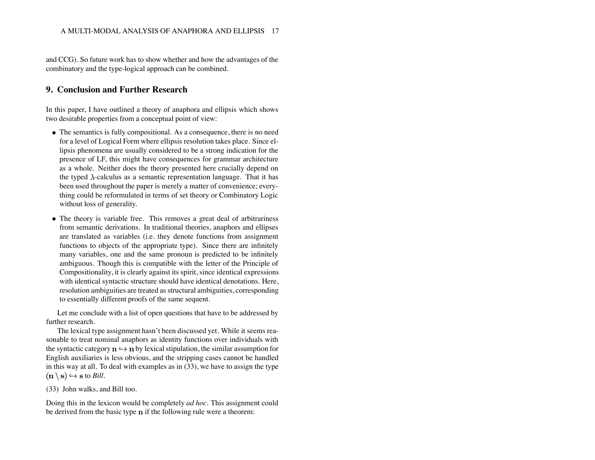and CCG). So future work has to show whether and how the advantages of the combinatory and the type-logical approach can be combined.

#### **9. Conclusion and Further Research**

In this paper, I have outlined a theory of anaphora and ellipsis which shows two desirable properties from a conceptual point of view:

- The semantics is fully compositional. As a consequence, there is no need for a level of Logical Form where ellipsis resolution takes place. Since ellipsis phenomena are usually considered to be a strong indication for the presence of LF, this might have consequences for grammar architecture as a whole. Neither does the theory presented here crucially depend on the typed  $\lambda$ -calculus as a semantic representation language. That it has been used throughout the paper is merely a matter of convenience; everything could be reformulated in terms of set theory or Combinatory Logic without loss of generality.
- The theory is variable free. This removes a great deal of arbitrariness from semantic derivations. In traditional theories, anaphors and ellipses are translated as variables (i.e. they denote functions from assignment functions to objects of the appropriate type). Since there are infinitely many variables, one and the same pronoun is predicted to be infinitely ambiguous. Though this is compatible with the letter of the Principle of Compositionality, it is clearly against its spirit, since identical expressions with identical syntactic structure should have identical denotations. Here, resolution ambiguities are treated as structural ambiguities, corresponding to essentially different proofs of the same sequent.

Let me conclude with a list of open questions that have to be addressed by further research.

The lexical type assignment hasn't been discussed yet. While it seems reasonable to treat nominal anaphors as identity functions over individuals with the syntactic category  $\mathbf{n} \hookrightarrow \mathbf{n}$  by lexical stipulation, the similar assumption for English auxiliaries is less obvious, and the stripping cases cannot be handled in this way at all. To deal with examples as in (33), we have to assign the type  $(n \setminus s) \hookrightarrow s$  to *Bill*.

(33) John walks, and Bill too.

Doing this in the lexicon would be completely *ad hoc*. This assignment could be derived from the basic type  $n$  if the following rule were a theorem: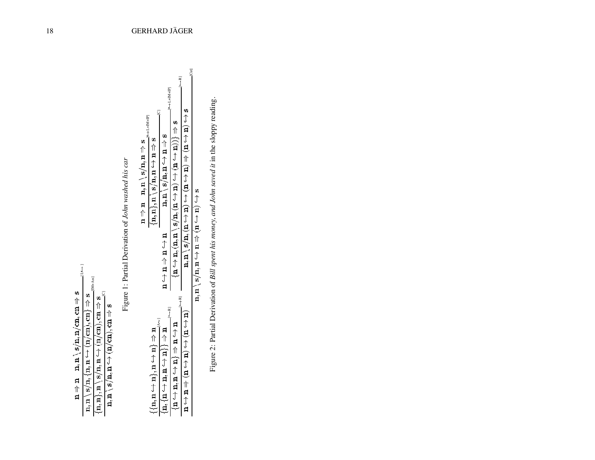| Ĵ                                                                                                                        | $M+AssI$                                                                          |                                                                             |                          |
|--------------------------------------------------------------------------------------------------------------------------|-----------------------------------------------------------------------------------|-----------------------------------------------------------------------------|--------------------------|
|                                                                                                                          |                                                                                   |                                                                             |                          |
|                                                                                                                          |                                                                                   |                                                                             |                          |
| $\mathbf{n}, \mathbf{n} \setminus \mathbf{s} / \mathbf{n}, \mathbf{m} / \mathrm{cn}, \mathbf{cn} \Rightarrow \mathbf{s}$ | s 介 { E) { E) { E } { E } { E } { E } { E } { E } { E } { E } { E } { E } { E } & | $\mathbf{S} \rightarrow \mathbf{S}$ (r) $\mathbf{m} \rightarrow \mathbf{m}$ |                          |
| 口<br>口                                                                                                                   |                                                                                   | $\mathbf{n}, \mathbf{n}$ $\}, \mathbf{n}$                                   | $\mathbf{n}, \mathbf{n}$ |
|                                                                                                                          | $\mathbf{n}$ , $\mathbf{n}$                                                       |                                                                             |                          |

Figure 1: Partial Derivation of John washed his car [C] Figure 1: Partial Derivation of *John washed his car*

|                                                                                  |                                                        | $[\begin{array}{c} \leftarrow \text{L+IM+IP} \end{array}]$                                    | ∏<br>∫                                                                                                                                                                                    | J                                                                                        |  |
|----------------------------------------------------------------------------------|--------------------------------------------------------|-----------------------------------------------------------------------------------------------|-------------------------------------------------------------------------------------------------------------------------------------------------------------------------------------------|------------------------------------------------------------------------------------------|--|
| $\longmapsto$ $1+MM+IP$<br>$n \Rightarrow n$ $n \Rightarrow n$ $n \Rightarrow n$ | $\langle n, n \rangle, n \setminus s, n \rightarrow s$ | $\mathbf{n}, \mathbf{n} \setminus \mathbf{s} / \mathbf{n}, \mathbf{n} \rightarrow \mathbf{s}$ | $\mathbf{a} \oplus \mathbf{b}$ $\mathbf{a} \oplus \mathbf{c}$ $\mathbf{a} \oplus \mathbf{c}$ $\mathbf{a} \oplus \mathbf{c}$ $\mathbf{a} \oplus \mathbf{c}$ $\mathbf{a} \oplus \mathbf{c}$ | $S(f)$ $\uparrow$ $I(f)$ $\uparrow$ $I(f)$ $\uparrow$ $I(f)$ $I(f)$ $I(f)$ $I(f)$ $I(f)$ |  |
|                                                                                  |                                                        | u f u f u f u                                                                                 |                                                                                                                                                                                           |                                                                                          |  |
|                                                                                  |                                                        | $\frac{1}{2}$<br>¤介大шригтритн                                                                 | $\frac{1}{3}$                                                                                                                                                                             | (ロ ↑ ロ) ↑ (ロ ↑ ロ) 仆 ロ ↑ ロ                                                                |  |

 $\overline{n}, \overline{n} \setminus \overline{s}/\overline{n}, \overline{n} \hookrightarrow \overline{n} \Rrightarrow (\overline{n} \hookrightarrow \overline{n}) \hookrightarrow \overline{s}$ 

Figure 2: Partial Derivation of Bill spent his money, and John saved it in the sloppy reading. Figure 2: Partial Derivation of *Bill spent his money, and John saved it* in the sloppy reading.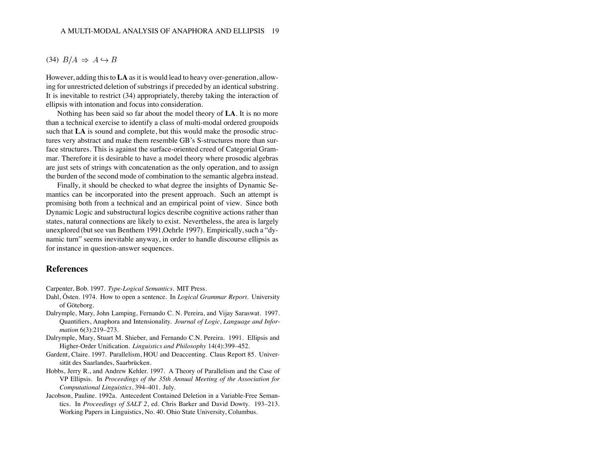#### $(34) B/A \Rightarrow A \hookrightarrow B$

However, adding this to **LA** as it is would lead to heavy over-generation, allowing for unrestricted deletion of substrings if preceded by an identical substring. It is inevitable to restrict (34) appropriately, thereby taking the interaction of ellipsis with intonation and focus into consideration.

Nothing has been said so far about the model theory of **LA**. It is no more than a technical exercise to identify a class of multi-modal ordered groupoids such that **LA** is sound and complete, but this would make the prosodic structures very abstract and make them resemble GB's S-structures more than surface structures. This is against the surface-oriented creed of Categorial Grammar. Therefore it is desirable to have a model theory where prosodic algebras are just sets of strings with concatenation as the only operation, and to assign the burden of the second mode of combination to the semantic algebra instead.

Finally, it should be checked to what degree the insights of Dynamic Semantics can be incorporated into the present approach. Such an attempt is promising both from a technical and an empirical point of view. Since both Dynamic Logic and substructural logics describe cognitive actions rather than states, natural connections are likely to exist. Nevertheless, the area is largely unexplored (but see van Benthem 1991,Oehrle 1997). Empirically, such a "dynamic turn" seems inevitable anyway, in order to handle discourse ellipsis as for instance in question-answer sequences.

#### **References**

Carpenter, Bob. 1997. *Type-Logical Semantics*. MIT Press.

- Dahl, Östen. 1974. How to open a sentence. In *Logical Grammar Report*. University of Göteborg.
- Dalrymple, Mary, John Lamping, Fernando C. N. Pereira, and Vijay Saraswat. 1997. Quantifiers, Anaphora and Intensionality. *Journal of Logic, Language and Information* 6(3):219–273.
- Dalrymple, Mary, Stuart M. Shieber, and Fernando C.N. Pereira. 1991. Ellipsis and Higher-Order Unification. *Linguistics and Philosophy* 14(4):399–452.
- Gardent, Claire. 1997. Parallelism, HOU and Deaccenting. Claus Report 85. Universität des Saarlandes, Saarbrücken.
- Hobbs, Jerry R., and Andrew Kehler. 1997. A Theory of Parallelism and the Case of VP Ellipsis. In *Proceedings of the 35th Annual Meeting of the Association for Computational Linguistics*, 394–401. July.
- Jacobson, Pauline. 1992a. Antecedent Contained Deletion in a Variable-Free Semantics. In *Proceedings of SALT 2*, ed. Chris Barker and David Dowty. 193–213. Working Papers in Linguistics, No. 40. Ohio State University, Columbus.